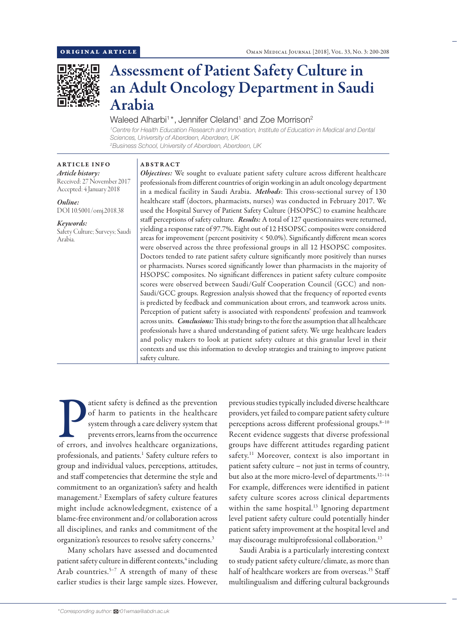

# Assessment of Patient Safety Culture in an Adult Oncology Department in Saudi Arabia

## Waleed Alharbi $^{\rm t}$ \*, Jennifer Cleland $^{\rm t}$  and Zoe Morrison $^{\rm 2}$

*1 Centre for Health Education Research and Innovation, Institute of Education in Medical and Dental Sciences, University of Aberdeen, Aberdeen, UK 2 Business School, University of Aberdeen, Aberdeen, UK*

#### ABSTRACT

ARTICLE INFO *Article history:* Received: 27 November 2017 Accepted: 4 January 2018

*Online:* DOI 10.5001/omj.2018.38

*Keywords:*  Safety Culture; Surveys; Saudi Arabia.

*Objectives:* We sought to evaluate patient safety culture across different healthcare professionals from different countries of origin working in an adult oncology department in a medical facility in Saudi Arabia. *Methods*: This cross-sectional survey of 130 healthcare staff (doctors, pharmacists, nurses) was conducted in February 2017. We used the Hospital Survey of Patient Safety Culture (HSOPSC) to examine healthcare staff perceptions of safety culture. *Results:* A total of 127 questionnaires were returned, yielding a response rate of 97.7%. Eight out of 12 HSOPSC composites were considered areas for improvement (percent positivity < 50.0%). Significantly different mean scores were observed across the three professional groups in all 12 HSOPSC composites. Doctors tended to rate patient safety culture significantly more positively than nurses or pharmacists. Nurses scored significantly lower than pharmacists in the majority of HSOPSC composites. No significant differences in patient safety culture composite scores were observed between Saudi/Gulf Cooperation Council (GCC) and non-Saudi/GCC groups. Regression analysis showed that the frequency of reported events is predicted by feedback and communication about errors, and teamwork across units. Perception of patient safety is associated with respondents' profession and teamwork across units. *Conclusions:* This study brings to the fore the assumption that all healthcare professionals have a shared understanding of patient safety. We urge healthcare leaders and policy makers to look at patient safety culture at this granular level in their contexts and use this information to develop strategies and training to improve patient safety culture.

atient safety is defined as the prevention<br>of harm to patients in the healthcare<br>system through a care delivery system that<br>prevents errors, learns from the occurrence<br>of errors, and involves healthcare organizations, atient safety is defined as the prevention of harm to patients in the healthcare system through a care delivery system that prevents errors, learns from the occurrence professionals, and patients.<sup>1</sup> Safety culture refers to group and individual values, perceptions, attitudes, and staff competencies that determine the style and commitment to an organization's safety and health management.2 Exemplars of safety culture features might include acknowledegment, existence of a blame-free environment and/or collaboration across all disciplines, and ranks and commitment of the organization's resources to resolve safety concerns.3

Many scholars have assessed and documented patient safety culture in different contexts,<sup>4</sup> including Arab countries.<sup>5-7</sup> A strength of many of these earlier studies is their large sample sizes. However,

previous studies typically included diverse healthcare providers, yet failed to compare patient safety culture perceptions across different professional groups.<sup>8-10</sup> Recent evidence suggests that diverse professional groups have different attitudes regarding patient safety.<sup>11</sup> Moreover, context is also important in patient safety culture – not just in terms of country, but also at the more micro-level of departments.<sup>12-14</sup> For example, differences were identified in patient safety culture scores across clinical departments within the same hospital.<sup>13</sup> Ignoring department level patient safety culture could potentially hinder patient safety improvement at the hospital level and may discourage multiprofessional collaboration.13

Saudi Arabia is a particularly interesting context to study patient safety culture/climate, as more than half of healthcare workers are from overseas.<sup>15</sup> Staff multilingualism and differing cultural backgrounds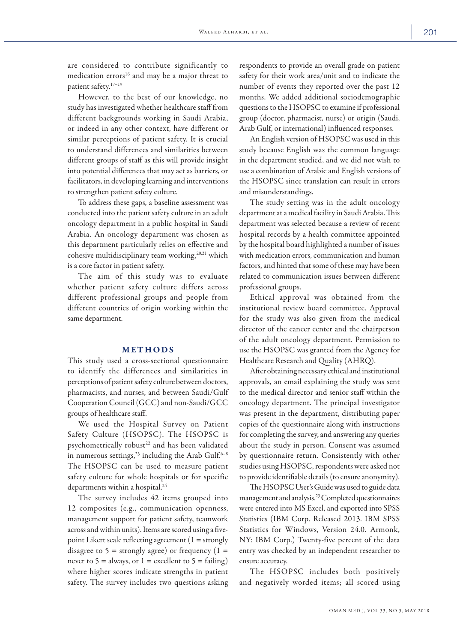are considered to contribute significantly to medication errors<sup>16</sup> and may be a major threat to patient safety.17–19

However, to the best of our knowledge, no study has investigated whether healthcare staff from different backgrounds working in Saudi Arabia, or indeed in any other context, have different or similar perceptions of patient safety. It is crucial to understand differences and similarities between different groups of staff as this will provide insight into potential differences that may act as barriers, or facilitators, in developing learning and interventions to strengthen patient safety culture.

To address these gaps, a baseline assessment was conducted into the patient safety culture in an adult oncology department in a public hospital in Saudi Arabia. An oncology department was chosen as this department particularly relies on effective and cohesive multidisciplinary team working,<sup>20,21</sup> which is a core factor in patient safety.

The aim of this study was to evaluate whether patient safety culture differs across different professional groups and people from different countries of origin working within the same department.

#### METHODS

This study used a cross-sectional questionnaire to identify the differences and similarities in perceptions of patient safety culture between doctors, pharmacists, and nurses, and between Saudi/Gulf Cooperation Council (GCC) and non-Saudi/GCC groups of healthcare staff.

We used the Hospital Survey on Patient Safety Culture (HSOPSC). The HSOPSC is psychometrically robust<sup>22</sup> and has been validated in numerous settings,  $2^3$  including the Arab Gulf.<sup>6–8</sup> The HSOPSC can be used to measure patient safety culture for whole hospitals or for specific departments within a hospital.24

The survey includes 42 items grouped into 12 composites (e.g., communication openness, management support for patient safety, teamwork across and within units). Items are scored using a fivepoint Likert scale reflecting agreement  $(1 =$  strongly disagree to  $5 =$  strongly agree) or frequency  $(1 =$ never to  $5 =$  always, or  $1 =$  excellent to  $5 =$  failing) where higher scores indicate strengths in patient safety. The survey includes two questions asking respondents to provide an overall grade on patient safety for their work area/unit and to indicate the number of events they reported over the past 12 months. We added additional sociodemographic questions to the HSOPSC to examine if professional group (doctor, pharmacist, nurse) or origin (Saudi, Arab Gulf, or international) influenced responses.

An English version of HSOPSC was used in this study because English was the common language in the department studied, and we did not wish to use a combination of Arabic and English versions of the HSOPSC since translation can result in errors and misunderstandings.

The study setting was in the adult oncology department at a medical facility in Saudi Arabia. This department was selected because a review of recent hospital records by a health committee appointed by the hospital board highlighted a number of issues with medication errors, communication and human factors, and hinted that some of these may have been related to communication issues between different professional groups.

Ethical approval was obtained from the institutional review board committee. Approval for the study was also given from the medical director of the cancer center and the chairperson of the adult oncology department. Permission to use the HSOPSC was granted from the Agency for Healthcare Research and Quality (AHRQ).

After obtaining necessary ethical and institutional approvals, an email explaining the study was sent to the medical director and senior staff within the oncology department. The principal investigator was present in the department, distributing paper copies of the questionnaire along with instructions for completing the survey, and answering any queries about the study in person. Consent was assumed by questionnaire return. Consistently with other studies using HSOPSC, respondents were asked not to provide identifiable details (to ensure anonymity).

The HSOPSC User's Guide was used to guide data management and analysis.23 Completed questionnaires were entered into MS Excel, and exported into SPSS Statistics (IBM Corp. Released 2013. IBM SPSS Statistics for Windows, Version 24.0. Armonk, NY: IBM Corp.) Twenty-five percent of the data entry was checked by an independent researcher to ensure accuracy.

The HSOPSC includes both positively and negatively worded items; all scored using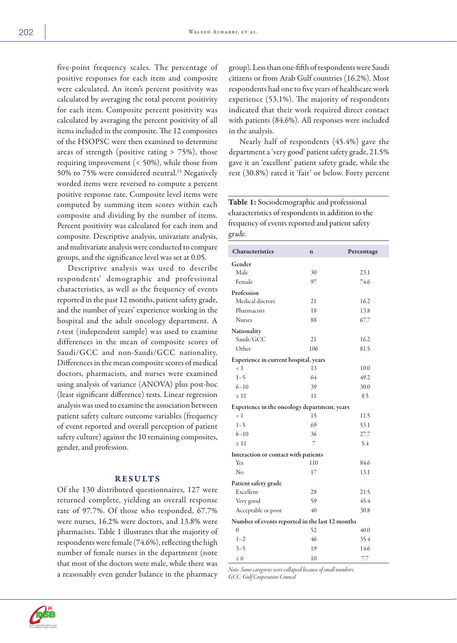five-point frequency scales. The percentage of positive responses for each item and composite were calculated. An item's percent positivity was calculated by averaging the total percent positivity for each item. Composite percent positivity was calculated by averaging the percent positivity of all items included in the composite. The 12 composites of the HSOPSC were then examined to determine areas of strength (positive rating > 75%), those requiring improvement (< 50%), while those from 50% to 75% were considered neutral.<sup>23</sup> Negatively worded items were reversed to compute a percent positive response rate. Composite level items were computed by summing item scores within each composite and dividing by the number of items. Percent positivity was calculated for each item and composite. Descriptive analysis, univariate analysis, and multivariate analysis were conducted to compare groups, and the significance level was set at 0.05.

Descriptive analysis was used to describe respondents' demographic and professional characteristics, as well as the frequency of events reported in the past 12 months, patient safety grade, and the number of years' experience working in the hospital and the adult oncology department. A *t*-test (independent sample) was used to examine differences in the mean of composite scores of Saudi/GCC and non-Saudi/GCC nationality. Differences in the mean composite scores of medical doctors, pharmacists, and nurses were examined using analysis of variance (ANOVA) plus post-hoc (least significant difference) tests. Linear regression analysis was used to examine the association between patient safety culture outcome variables (frequency of event reported and overall perception of patient safety culture) against the 10 remaining composites, gender, and profession.

#### RESULTS

Of the 130 distributed questionnaires, 127 were returned complete, yielding an overall response rate of 97.7%. Of those who responded, 67.7% were nurses, 16.2% were doctors, and 13.8% were pharmacists. Table 1 illustrates that the majority of respondents were female (74.6%), reflecting the high number of female nurses in the department (note that most of the doctors were male, while there was a reasonably even gender balance in the pharmacy

group). Less than one-fifth of respondents were Saudi citizens or from Arab Gulf countries (16.2%). Most respondents had one to five years of healthcare work experience (53.1%). The majority of respondents indicated that their work required direct contact with patients (84.6%). All responses were included in the analysis.

Nearly half of respondents (45.4%) gave the department a 'very good' patient safety grade, 21.5% gave it an 'excellent' patient safety grade, while the rest (30.8%) rated it 'fair' or below. Forty percent

Table 1: Sociodemographic and professional characteristics of respondents in addition to the frequency of events reported and patient safety grade.

| Characteristics                                 | $\mathbf n$ | Percentage |
|-------------------------------------------------|-------------|------------|
| Gender                                          |             |            |
| Male                                            | 30          | 23.1       |
| Female                                          | 97          | 74.6       |
| Profession                                      |             |            |
| Medical doctors                                 | 21          | 16.2       |
| Pharmacists                                     | 18          | 13.8       |
| <b>Nurses</b>                                   | 88          | 67.7       |
| Nationality                                     |             |            |
| Saudi/GCC                                       | 21          | 16.2       |
| Other                                           | 106         | 81.5       |
| Experience in current hospital, years           |             |            |
| < 1                                             | 13          | 10.0       |
| $1 - 5$                                         | 64          | 49.2       |
| $6 - 10$                                        | 39          | 30.0       |
| >11                                             | 11          | 8.5        |
| Experience in the oncology department, years    |             |            |
| $\langle 1$                                     | 15          | 11.5       |
| $1 - 5$                                         | 69          | 53.1       |
| $6 - 10$                                        | 36          | 27.7       |
| $\geq 11$                                       | 7           | 5.4        |
| Interaction or contact with patients            |             |            |
| Yes                                             | 110         | 84.6       |
| No                                              | 17          | 13.1       |
| Patient safety grade                            |             |            |
| Excellent                                       | 28          | 21.5       |
| Very good                                       | 59          | 45.4       |
| Acceptable or poor                              | 40          | 30.8       |
| Number of events reported in the last 12 months |             |            |
| 0                                               | 52          | 40.0       |
| $1 - 2$                                         | 46          | 35.4       |
| $3 - 5$                                         | 19          | 14.6       |
| $\geq 6$                                        | 10          | 7.7        |

*Note: Some categories were collapsed because of small numbers. GCC: Gulf Cooperation Council*



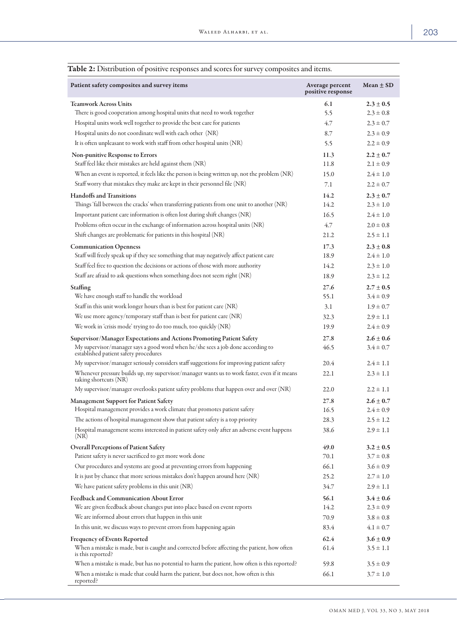## Patient safety composites and survey items Average percent Average percent positive response  $Mean \pm SD$ Teamwork Across Units  $\hspace{1.6cm} 2.3 \pm 0.5$ There is good cooperation among hospital units that need to work together  $5.5$   $2.3 \pm 0.8$ Hospital units work well together to provide the best care for patients 4.7 2.3 ± 0.7 Hospital units do not coordinate well with each other  $(NR)$  8.7 8.7 2.3  $\pm$  0.9 It is often unpleasant to work with staff from other hospital units  $(NR)$  5.5 2.2  $\pm$  0.9 Non-punitive Response to Errors  $11.3$   $2.2 \pm 0.7$ Staff feel like their mistakes are held against them (NR) 11.8 11.8 2.1  $\pm$  0.9 When an event is reported, it feels like the person is being written up, not the problem (NR) 15.0 2.4  $\pm$  1.0 Staff worry that mistakes they make are kept in their personnel file (NR)  $7.1$   $2.2 \pm 0.7$ Handoffs and Transitions  $14.2$   $2.3 + 0.7$ Things 'fall between the cracks' when transferring patients from one unit to another (NR)  $14.2$   $2.3 \pm 1.0$ Important patient care information is often lost during shift changes (NR) 16.5 2.4 ± 1.0 Problems often occur in the exchange of information across hospital units  $(NR)$   $4.7$   $2.0 \pm 0.8$ Shift changes are problematic for patients in this hospital (NR) 21.2 2.5 ± 1.1  $17.3$  2.3  $\pm$  0.8 Staff will freely speak up if they see something that may negatively affect patient care 18.9 2.4  $\pm$  1.0 Staff feel free to question the decisions or actions of those with more authority 14.2 2.3  $\pm$  1.0 Staff are afraid to ask questions when something does not seem right (NR) 18.9 2.3  $\pm$  1.2 Staffing 27.6 2.7  $\pm$  0.5 We have enough staff to handle the workload  $55.1$   $3.4 \pm 0.9$ Staff in this unit work longer hours than is best for patient care  $(NR)$  3.1 1.9  $\pm$  0.7 We use more agency/temporary staff than is best for patient care (NR)  $32.3$   $2.9 \pm 1.1$ We work in 'crisis mode' trying to do too much, too quickly (NR) 19.9 2.4 ± 0.9 Supervisor/Manager Expectations and Actions Promoting Patient Safety 27.8 2.6 ± 0.6 My supervisor/manager says a good word when he/she sees a job done according to established patient safety procedures 46.5  $3.4 \pm 0.7$ My supervisor/manager seriously considers staff suggestions for improving patient safety  $20.4$   $2.4 \pm 1.1$ Whenever pressure builds up, my supervisor/manager wants us to work faster, even if it means taking shortcuts (NR) 22.1  $2.3 \pm 1.1$ My supervisor/manager overlooks patient safety problems that happen over and over  $(NR)$  22.0 2.2  $\pm$  1.1 Management Support for Patient Safety 27.8 2.6 ± 0.7 Hospital management provides a work climate that promotes patient safety  $16.5$   $2.4 \pm 0.9$ The actions of hospital management show that patient safety is a top priority 28.3 2.5  $\pm$  1.2 Hospital management seems interested in patient safety only after an adverse event happens (NR) 38.6  $2.9 \pm 1.1$ Overall Perceptions of Patient Safety  $\begin{array}{cc} 49.0 & 3.2 \pm 0.5 \end{array}$ Patient safety is never sacrificed to get more work done  $70.1$   $3.7 \pm 0.8$ Our procedures and systems are good at preventing errors from happening 66.1 3.6 ± 0.9 It is just by chance that more serious mistakes don't happen around here  $(NR)$  25.2 2.7  $\pm$  1.0 We have patient safety problems in this unit (NR)  $34.7$   $2.9 \pm 1.1$ Feedback and Communication About Error 56.1 56.1 3.4 + 0.6 We are given feedback about changes put into place based on event reports  $14.2$   $2.3 \pm 0.9$ We are informed about errors that happen in this unit  $70.9$   $3.8 \pm 0.8$ In this unit, we discuss ways to prevent errors from happening again  $\qquad 83.4 \qquad 4.1 \pm 0.7$ Frequency of Events Reported 62.4 3.6  $\pm$  0.9 When a mistake is made, but is caught and corrected before affecting the patient, how often is this reported? 61.4  $3.5 \pm 1.1$ When a mistake is made, but has no potential to harm the patient, how often is this reported?  $59.8$   $3.5 \pm 0.9$ When a mistake is made that could harm the patient, but does not, how often is this 66.1  $3.7 \pm 1.0$

reported?

#### Table 2: Distribution of positive responses and scores for survey composites and items.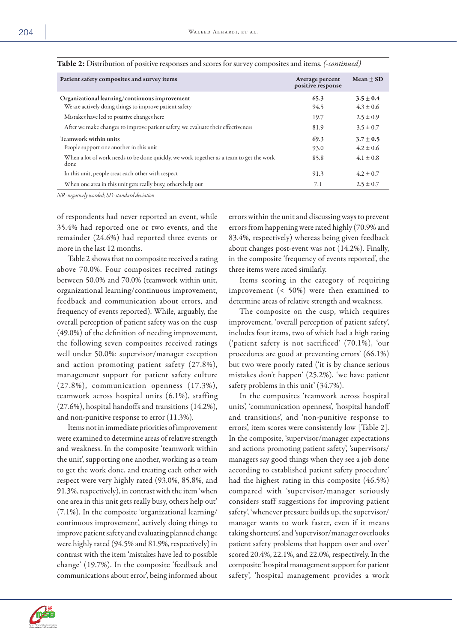| Patient safety composites and survey items                                                      | Average percent<br>positive response | $Mean + SD$   |
|-------------------------------------------------------------------------------------------------|--------------------------------------|---------------|
| Organizational learning/continuous improvement                                                  | 65.3                                 | $3.5 \pm 0.4$ |
| We are actively doing things to improve patient safety                                          | 94.5                                 | $4.3 \pm 0.6$ |
| Mistakes have led to positive changes here                                                      | 19.7                                 | $2.5 \pm 0.9$ |
| After we make changes to improve patient safety, we evaluate their effectiveness                | 81.9                                 | $3.5 \pm 0.7$ |
| Teamwork within units                                                                           | 69.3                                 | $3.7 \pm 0.5$ |
| People support one another in this unit                                                         | 93.0                                 | $4.2 \pm 0.6$ |
| When a lot of work needs to be done quickly, we work together as a team to get the work<br>done | 85.8                                 | $4.1 \pm 0.8$ |
| In this unit, people treat each other with respect                                              | 91.3                                 | $4.2 \pm 0.7$ |
| When one area in this unit gets really busy, others help out                                    | 7.1                                  | $2.5 \pm 0.7$ |
|                                                                                                 |                                      |               |

| Table 2: Distribution of positive responses and scores for survey composites and items. (-continued) |  |  |  |
|------------------------------------------------------------------------------------------------------|--|--|--|
|------------------------------------------------------------------------------------------------------|--|--|--|

*NR: negatively worded; SD: standard deviation.*

of respondents had never reported an event, while 35.4% had reported one or two events, and the remainder (24.6%) had reported three events or more in the last 12 months.

Table 2 shows that no composite received a rating above 70.0%. Four composites received ratings between 50.0% and 70.0% (teamwork within unit, organizational learning/continuous improvement, feedback and communication about errors, and frequency of events reported). While, arguably, the overall perception of patient safety was on the cusp (49.0%) of the definition of needing improvement, the following seven composites received ratings well under 50.0%: supervisor/manager exception and action promoting patient safety (27.8%), management support for patient safety culture (27.8%), communication openness (17.3%), teamwork across hospital units (6.1%), staffing (27.6%), hospital handoffs and transitions (14.2%), and non-punitive response to error (11.3%).

Items not in immediate priorities of improvement were examined to determine areas of relative strength and weakness. In the composite 'teamwork within the unit', supporting one another, working as a team to get the work done, and treating each other with respect were very highly rated (93.0%, 85.8%, and 91.3%, respectively), in contrast with the item 'when one area in this unit gets really busy, others help out' (7.1%). In the composite 'organizational learning/ continuous improvement', actively doing things to improve patient safety and evaluating planned change were highly rated (94.5% and 81.9%, respectively) in contrast with the item 'mistakes have led to possible change' (19.7%). In the composite 'feedback and communications about error', being informed about

errors within the unit and discussing ways to prevent errors from happening were rated highly (70.9% and 83.4%, respectively) whereas being given feedback about changes post-event was not (14.2%). Finally, in the composite 'frequency of events reported', the three items were rated similarly.

Items scoring in the category of requiring improvement (< 50%) were then examined to determine areas of relative strength and weakness.

The composite on the cusp, which requires improvement, 'overall perception of patient safety', includes four items, two of which had a high rating ('patient safety is not sacrificed' (70.1%), 'our procedures are good at preventing errors' (66.1%) but two were poorly rated ('it is by chance serious mistakes don't happen' (25.2%), 'we have patient safety problems in this unit' (34.7%).

In the composites 'teamwork across hospital units', 'communication openness', 'hospital handoff and transitions', and 'non-punitive response to errors', item scores were consistently low [Table 2]. In the composite, 'supervisor/manager expectations and actions promoting patient safety', 'supervisors/ managers say good things when they see a job done according to established patient safety procedure' had the highest rating in this composite (46.5%) compared with 'supervisor/manager seriously considers staff suggestions for improving patient safety', 'whenever pressure builds up, the supervisor/ manager wants to work faster, even if it means taking shortcuts', and 'supervisor/manager overlooks patient safety problems that happen over and over' scored 20.4%, 22.1%, and 22.0%, respectively. In the composite 'hospital management support for patient safety', 'hospital management provides a work

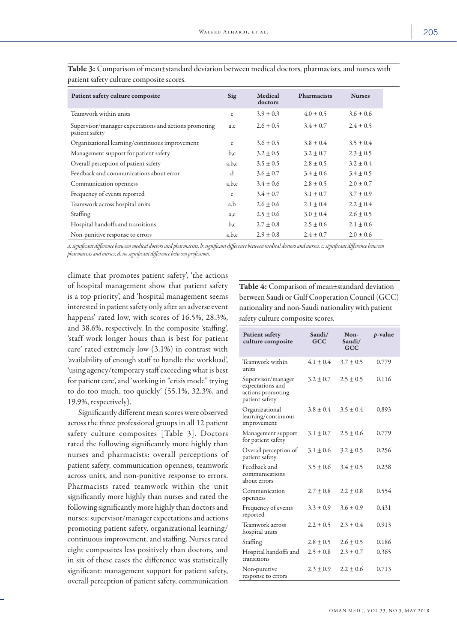| Patient safety culture composite                                        | Sig          | Medical<br>doctors | <b>Pharmacists</b> | <b>Nurses</b> |
|-------------------------------------------------------------------------|--------------|--------------------|--------------------|---------------|
| Teamwork within units                                                   | $\mathsf{C}$ | $3.9 \pm 0.3$      | $4.0 \pm 0.5$      | $3.6 + 0.6$   |
| Supervisor/manager expectations and actions promoting<br>patient safety | a,c          | $2.6 \pm 0.5$      | $3.4 \pm 0.7$      | $2.4 \pm 0.5$ |
| Organizational learning/continuous improvement                          | $\mathsf{C}$ | $3.6 \pm 0.5$      | $3.8 \pm 0.4$      | $3.5 \pm 0.4$ |
| Management support for patient safety                                   | b,c          | $3.2 \pm 0.5$      | $3.2 \pm 0.7$      | $2.3 \pm 0.5$ |
| Overall perception of patient safety                                    | a,b,c        | $3.5 \pm 0.5$      | $2.8 \pm 0.5$      | $3.2 \pm 0.4$ |
| Feedback and communications about error                                 | d            | $3.6 \pm 0.7$      | $3.4 \pm 0.6$      | $3.4 \pm 0.5$ |
| Communication openness                                                  | a,b,c        | $3.4 \pm 0.6$      | $2.8 \pm 0.5$      | $2.0 \pm 0.7$ |
| Frequency of events reported                                            | $\mathsf{C}$ | $3.4 \pm 0.7$      | $3.1 \pm 0.7$      | $3.7 \pm 0.9$ |
| Teamwork across hospital units                                          | a,b          | $2.6 \pm 0.6$      | $2.1 \pm 0.4$      | $2.2 \pm 0.4$ |
| Staffing                                                                | a,c          | $2.5 \pm 0.6$      | $3.0 \pm 0.4$      | $2.6 \pm 0.5$ |
| Hospital handoffs and transitions                                       | b,c          | $2.7 \pm 0.8$      | $2.5 \pm 0.6$      | $2.1 \pm 0.6$ |
| Non-punitive response to errors                                         | a,b,c        | $2.9 \pm 0.8$      | $2.4 \pm 0.7$      | $2.0 \pm 0.6$ |

Table 3: Comparison of mean±standard deviation between medical doctors, pharmacists, and nurses with patient safety culture composite scores.

*a: significant difference between medical doctors and pharmacists; b: significant difference between medical doctors and nurses; c: significant difference between pharmacists and nurses; d: no significant difference between professions.*

climate that promotes patient safety', 'the actions of hospital management show that patient safety is a top priority', and 'hospital management seems interested in patient safety only after an adverse event happens' rated low, with scores of 16.5%, 28.3%, and 38.6%, respectively. In the composite 'staffing', 'staff work longer hours than is best for patient care' rated extremely low (3.1%) in contrast with 'availability of enough staff to handle the workload', 'using agency/temporary staff exceeding what is best for patient care', and 'working in "crisis mode" trying to do too much, too quickly' (55.1%, 32.3%, and 19.9%, respectively).

Significantly different mean scores were observed across the three professional groups in all 12 patient safety culture composites [Table 3]. Doctors rated the following significantly more highly than nurses and pharmacists: overall perceptions of patient safety, communication openness, teamwork across units, and non-punitive response to errors. Pharmacists rated teamwork within the unit significantly more highly than nurses and rated the following significantly more highly than doctors and nurses: supervisor/manager expectations and actions promoting patient safety, organizational learning/ continuous improvement, and staffing. Nurses rated eight composites less positively than doctors, and in six of these cases the difference was statistically significant: management support for patient safety, overall perception of patient safety, communication

Table 4: Comparison of mean±standard deviation between Saudi or Gulf Cooperation Council (GCC) nationality and non-Saudi nationality with patient safety culture composite scores.

| <b>Patient safety</b><br>culture composite                                    | Saudi/<br>GCC | Non-<br>Saudi/<br>GCC | <i>p</i> -value |
|-------------------------------------------------------------------------------|---------------|-----------------------|-----------------|
| Teamwork within<br>units                                                      | $4.1 + 0.4$   | $3.7 \pm 0.5$         | 0.779           |
| Supervisor/manager<br>expectations and<br>actions promoting<br>patient safety | $3.2 + 0.7$   | $2.5 \pm 0.5$         | 0.116           |
| Organizational<br>learning/continuous<br>improvement                          | $3.8 + 0.4$   | $3.5 \pm 0.4$         | 0.893           |
| Management support<br>for patient safety                                      | $3.1 \pm 0.7$ | $2.5 \pm 0.6$         | 0.779           |
| Overall perception of<br>patient safety                                       | $3.1 \pm 0.6$ | $3.2 \pm 0.5$         | 0.256           |
| Feedback and<br>communications<br>about errors                                | $3.5 \pm 0.6$ | $3.4 \pm 0.5$         | 0.238           |
| Communication<br>openness                                                     | $2.7 \pm 0.8$ | $2.2 \pm 0.8$         | 0.554           |
| Frequency of events<br>reported                                               | $3.3 \pm 0.9$ | $3.6 \pm 0.9$         | 0.431           |
| Teamwork across<br>hospital units                                             | $2.2 + 0.5$   | $2.3 \pm 0.4$         | 0.913           |
| Staffing                                                                      | $2.8 \pm 0.5$ | $2.6 \pm 0.5$         | 0.186           |
| Hospital handoffs and<br>transitions                                          | $2.5 \pm 0.8$ | $2.3 \pm 0.7$         | 0.365           |
| Non-punitive<br>response to errors                                            | $2.3 \pm 0.9$ | $2.2 + 0.6$           | 0.713           |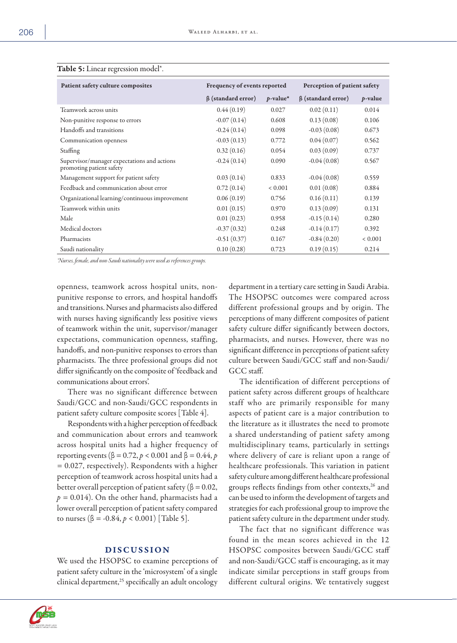| Patient safety culture composites                                       | Frequency of events reported |             | Perception of patient safety |             |
|-------------------------------------------------------------------------|------------------------------|-------------|------------------------------|-------------|
|                                                                         | $\beta$ (standard error)     | $p$ -value* | $\beta$ (standard error)     | $p$ -value  |
| Teamwork across units                                                   | 0.44(0.19)                   | 0.027       | 0.02(0.11)                   | 0.014       |
| Non-punitive response to errors                                         | $-0.07(0.14)$                | 0.608       | 0.13(0.08)                   | 0.106       |
| Handoffs and transitions                                                | $-0.24(0.14)$                | 0.098       | $-0.03(0.08)$                | 0.673       |
| Communication openness                                                  | $-0.03(0.13)$                | 0.772       | 0.04(0.07)                   | 0.562       |
| Staffing                                                                | 0.32(0.16)                   | 0.054       | 0.03(0.09)                   | 0.737       |
| Supervisor/manager expectations and actions<br>promoting patient safety | $-0.24(0.14)$                | 0.090       | $-0.04(0.08)$                | 0.567       |
| Management support for patient safety                                   | 0.03(0.14)                   | 0.833       | $-0.04(0.08)$                | 0.559       |
| Feedback and communication about error                                  | 0.72(0.14)                   | ${}< 0.001$ | 0.01(0.08)                   | 0.884       |
| Organizational learning/continuous improvement                          | 0.06(0.19)                   | 0.756       | 0.16(0.11)                   | 0.139       |
| Teamwork within units                                                   | 0.01(0.15)                   | 0.970       | 0.13(0.09)                   | 0.131       |
| Male                                                                    | 0.01(0.23)                   | 0.958       | $-0.15(0.14)$                | 0.280       |
| Medical doctors                                                         | $-0.37(0.32)$                | 0.248       | $-0.14(0.17)$                | 0.392       |
| Pharmacists                                                             | $-0.51(0.37)$                | 0.167       | $-0.84(0.20)$                | ${}< 0.001$ |
| Saudi nationality                                                       | 0.10(0.28)                   | 0.723       | 0.19(0.15)                   | 0.214       |

## Table 5: Linear regression model\*.

*\*Nurses, female, and non-Saudi nationality were used as references groups.*

openness, teamwork across hospital units, nonpunitive response to errors, and hospital handoffs and transitions. Nurses and pharmacists also differed with nurses having significantly less positive views of teamwork within the unit, supervisor/manager expectations, communication openness, staffing, handoffs, and non-punitive responses to errors than pharmacists. The three professional groups did not differ significantly on the composite of 'feedback and communications about errors'.

There was no significant difference between Saudi/GCC and non-Saudi/GCC respondents in patient safety culture composite scores [Table 4].

Respondents with a higher perception of feedback and communication about errors and teamwork across hospital units had a higher frequency of reporting events (β = 0.72, *p* < 0.001 and β = 0.44, *p =* 0.027, respectively). Respondents with a higher perception of teamwork across hospital units had a better overall perception of patient safety ( $\beta = 0.02$ ,  $p = 0.014$ ). On the other hand, pharmacists had a lower overall perception of patient safety compared to nurses (β = -0.84, *p* < 0.001) [Table 5].

### DISCUSSION

We used the HSOPSC to examine perceptions of patient safety culture in the 'microsystem' of a single clinical department, $^{25}$  specifically an adult oncology

department in a tertiary care setting in Saudi Arabia. The HSOPSC outcomes were compared across different professional groups and by origin. The perceptions of many different composites of patient safety culture differ significantly between doctors, pharmacists, and nurses. However, there was no significant difference in perceptions of patient safety culture between Saudi/GCC staff and non-Saudi/ GCC staff.

The identification of different perceptions of patient safety across different groups of healthcare staff who are primarily responsible for many aspects of patient care is a major contribution to the literature as it illustrates the need to promote a shared understanding of patient safety among multidisciplinary teams, particularly in settings where delivery of care is reliant upon a range of healthcare professionals. This variation in patient safety culture among different healthcare professional groups reflects findings from other contexts,<sup>26</sup> and can be used to inform the development of targets and strategies for each professional group to improve the patient safety culture in the department under study.

The fact that no significant difference was found in the mean scores achieved in the 12 HSOPSC composites between Saudi/GCC staff and non-Saudi/GCC staff is encouraging, as it may indicate similar perceptions in staff groups from different cultural origins. We tentatively suggest

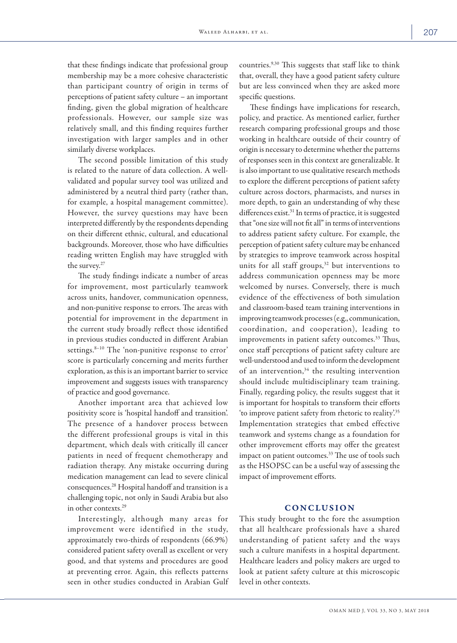that these findings indicate that professional group membership may be a more cohesive characteristic than participant country of origin in terms of perceptions of patient safety culture – an important finding, given the global migration of healthcare professionals. However, our sample size was relatively small, and this finding requires further investigation with larger samples and in other similarly diverse workplaces.

The second possible limitation of this study is related to the nature of data collection. A wellvalidated and popular survey tool was utilized and administered by a neutral third party (rather than, for example, a hospital management committee). However, the survey questions may have been interpreted differently by the respondents depending on their different ethnic, cultural, and educational backgrounds. Moreover, those who have difficulties reading written English may have struggled with the survey.27

The study findings indicate a number of areas for improvement, most particularly teamwork across units, handover, communication openness, and non-punitive response to errors. The areas with potential for improvement in the department in the current study broadly reflect those identified in previous studies conducted in different Arabian settings. $8-10$  The 'non-punitive response to error' score is particularly concerning and merits further exploration, as this is an important barrier to service improvement and suggests issues with transparency of practice and good governance.

Another important area that achieved low positivity score is 'hospital handoff and transition'. The presence of a handover process between the different professional groups is vital in this department, which deals with critically ill cancer patients in need of frequent chemotherapy and radiation therapy. Any mistake occurring during medication management can lead to severe clinical consequences.28 Hospital handoff and transition is a challenging topic, not only in Saudi Arabia but also in other contexts.29

Interestingly, although many areas for improvement were identified in the study, approximately two-thirds of respondents (66.9%) considered patient safety overall as excellent or very good, and that systems and procedures are good at preventing error. Again, this reflects patterns seen in other studies conducted in Arabian Gulf

countries.9,30 This suggests that staff like to think that, overall, they have a good patient safety culture but are less convinced when they are asked more specific questions.

These findings have implications for research, policy, and practice. As mentioned earlier, further research comparing professional groups and those working in healthcare outside of their country of origin is necessary to determine whether the patterns of responses seen in this context are generalizable. It is also important to use qualitative research methods to explore the different perceptions of patient safety culture across doctors, pharmacists, and nurses in more depth, to gain an understanding of why these differences exist.<sup>31</sup> In terms of practice, it is suggested that "one size will not fit all" in terms of interventions to address patient safety culture. For example, the perception of patient safety culture may be enhanced by strategies to improve teamwork across hospital units for all staff groups, $32$  but interventions to address communication openness may be more welcomed by nurses. Conversely, there is much evidence of the effectiveness of both simulation and classroom-based team training interventions in improving teamwork processes (e.g., communication, coordination, and cooperation), leading to improvements in patient safety outcomes.<sup>33</sup> Thus, once staff perceptions of patient safety culture are well-understood and used to inform the development of an intervention,<sup>34</sup> the resulting intervention should include multidisciplinary team training. Finally, regarding policy, the results suggest that it is important for hospitals to transform their efforts 'to improve patient safety from rhetoric to reality'.35 Implementation strategies that embed effective teamwork and systems change as a foundation for other improvement efforts may offer the greatest impact on patient outcomes.<sup>33</sup> The use of tools such as the HSOPSC can be a useful way of assessing the impact of improvement efforts.

## **CONCLUSION**

This study brought to the fore the assumption that all healthcare professionals have a shared understanding of patient safety and the ways such a culture manifests in a hospital department. Healthcare leaders and policy makers are urged to look at patient safety culture at this microscopic level in other contexts.